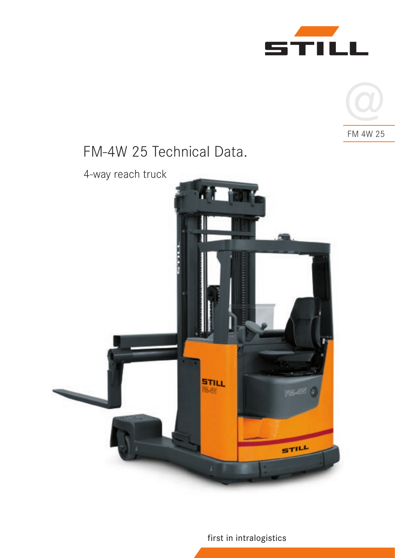



# FM-4W 25 Technical Data.

4-way reach truck



first in intralogistics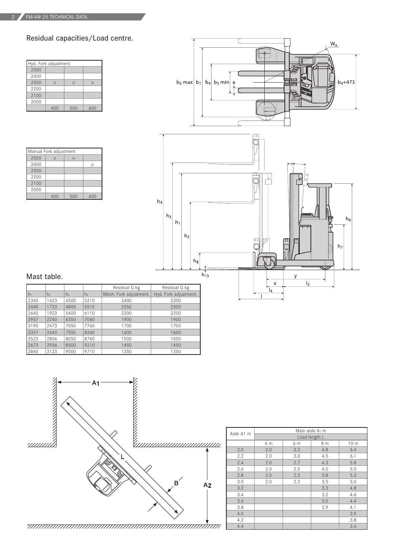Residual capacities/Load centre.

| Hyd. Fork adjustment |          |          |          |  |  |  |
|----------------------|----------|----------|----------|--|--|--|
| 2500                 |          |          |          |  |  |  |
| 2400                 |          |          |          |  |  |  |
| 2300                 | $\Omega$ | $\Omega$ | $\Omega$ |  |  |  |
| 2200                 |          |          |          |  |  |  |
| 2100                 |          |          |          |  |  |  |
| 2000                 |          |          |          |  |  |  |
|                      | 400      | 500      | 600      |  |  |  |

| Manual Fork adjustment |   |     |  |  |  |
|------------------------|---|-----|--|--|--|
| 2500                   | ∩ | Ω   |  |  |  |
| 2400                   |   |     |  |  |  |
| 2300                   |   |     |  |  |  |
| 2200                   |   |     |  |  |  |
| 2100                   |   |     |  |  |  |
| 2000                   |   |     |  |  |  |
|                        |   | 500 |  |  |  |





### Mast table.

|      |                |      |                | Residual Q kg          | Residual Q kg         |
|------|----------------|------|----------------|------------------------|-----------------------|
| h1   | h <sub>2</sub> | hз   | h <sub>4</sub> | Mech. Fork adjustment. | Hyd. Fork adjustment. |
| 2340 | 1623           | 4500 | 5210           | 2400                   | 2300                  |
| 2440 | 1723           | 4800 | 5510           | 2350                   | 2300                  |
| 2640 | 1923           | 5400 | 6110           | 2200                   | 2200                  |
| 2957 | 2240           | 6350 | 7060           | 1900                   | 1900                  |
| 3190 | 2473           | 7050 | 7760           | 1700                   | 1700                  |
| 3357 | 2640           | 7550 | 8260           | 1600                   | 1600                  |
| 3523 | 2806           | 8050 | 8760           | 1500                   | 1500                  |
| 3673 | 2956           | 8500 | 9210           | 1450                   | 1450                  |
| 3840 | 3123           | 9000 | 9710           | 1350                   | 1350                  |



|    | Aisle A1 m | Main aisle A <sub>2</sub> m |     |     |                 |  |  |
|----|------------|-----------------------------|-----|-----|-----------------|--|--|
|    |            | Load length L               |     |     |                 |  |  |
|    |            | 4 m                         | 6 m | 8 m | 10 <sub>m</sub> |  |  |
|    | 2.0        | 2.0                         | 3.3 | 4.8 | 6.4             |  |  |
|    | 2.2        | 2.0                         | 3.0 | 4.5 | 6.1             |  |  |
|    | 2.4        | 2.0                         | 2.7 | 4.3 | 5.8             |  |  |
|    | 2.6        | 2.0                         | 2.5 | 4.0 | 5.5             |  |  |
|    | 2.8        | 2.0                         | 2.3 | 3.8 | 5.3             |  |  |
|    | 3.0        | 2.0                         | 2.2 | 3.5 | 5.0             |  |  |
|    | 3.2        |                             |     | 3.3 | 4.8             |  |  |
|    | 3.4        |                             |     | 3.2 | 4.6             |  |  |
|    | 3.6        |                             |     | 3.0 | 4.4             |  |  |
|    | 3.8        |                             |     | 2.9 | 4.1             |  |  |
|    | 4.0        |                             |     |     | 3.9             |  |  |
|    | 4.2        |                             |     |     | 3.8             |  |  |
| ÷, | 4.4        |                             |     |     | 3.6             |  |  |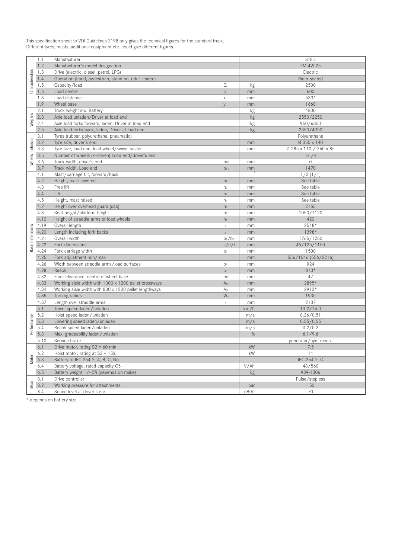| This specification sheet to VDI Guidelines 2198 only gives the technical figures for the standard truck. |
|----------------------------------------------------------------------------------------------------------|
| Different tyres, masts, additional equipment etc. could give different figures.                          |

| Characteristics  | 1.1  | Manufacturer                                          |                         |       | STILL                  |
|------------------|------|-------------------------------------------------------|-------------------------|-------|------------------------|
|                  | 1.2  | Manufacturer's model designation                      |                         |       | FM-4W 25               |
|                  | 1.3  | Drive (electric, diesel, petrol, LPG)                 |                         |       | Electric               |
|                  | 1.4  | Operation (hand, pedestrian, stand on, rider seated)  |                         |       | Rider seated           |
|                  | 1.5  | Capacity/load                                         | $\Omega$                | kg    | 2500                   |
|                  | 1.6  | Load centre                                           | $\mathsf{C}$            | mm    | 600                    |
|                  | 1.8  | Load distance                                         | $\overline{\mathsf{x}}$ | mm    | 533*                   |
|                  | 1.9  | Wheel base                                            | $\vee$                  | mm    | 1660                   |
|                  | 2.1  | Truck weight inc. Battery                             |                         | kg    | 4800                   |
| Weights          | 2.3  | Axle load unladen/Driver at load end                  |                         | kg    | 2550/2250              |
|                  | 2.4  | Axle load forks forward, laden, Driver at load end    |                         | kg    | 950/6350               |
|                  | 2.5  | Axle load forks back, laden, Driver at load end       |                         | kg    | 2350/4950              |
|                  | 3.1  | Tyres (rubber, polyurethane, pneumatic)               |                         |       | Polyurethane           |
| Wheels   chassis | 3.2  | Tyre size, driver's end                               |                         | mm    | Ø 350 x 140            |
|                  | 3.3  | Tyre size, load end, load wheel/swivel castor         |                         | mm    | Ø 285 x 110 / 260 x 85 |
|                  | 3.5  | Number of wheels (x=driven) Load end/driver's end     |                         |       | 1x/4                   |
|                  | 3.6  | Track width, driver's end                             | $b_{10}$                | mm    | $\Omega$               |
|                  | 3.7  | Track width, Load end                                 | $b_{11}$                | mm    | 1470                   |
|                  | 4.1  | Mast/carriage tilt, forward/back                      |                         |       | 1/3(1/1)               |
|                  | 4.2  | Height, mast lowered                                  | $h_1$                   | mm    | See table              |
|                  | 4.3  | Free lift                                             | h <sub>2</sub>          | mm    | See table              |
|                  | 4.4  | Lift                                                  | h <sub>3</sub>          | mm    | See table              |
|                  | 4.5  | Height, mast raised                                   | h <sub>4</sub>          | mm    | See table              |
|                  | 4.7  | Height over overhead guard (cab)                      | h <sub>6</sub>          | mm    | 2155                   |
|                  | 4.8  |                                                       | hz                      | mm    | 1050/1120              |
|                  |      | Seat height/platform height                           | h <sub>8</sub>          |       | 420                    |
|                  | 4.10 | Height of straddle arms or load wheels                |                         | mm    |                        |
|                  | 4.19 | Overall length                                        | $\vert$                 | mm    | 2548*                  |
|                  | 4.20 | Length including fork backs                           | $\mathsf{I}_2$          | mm    | 1398*                  |
| Basic dimensions | 4.21 | Overall width                                         | $b_1/b_2$               | mm    | 1765/1260              |
|                  | 4.22 | Fork dimensions                                       | s/e/l                   | mm    | 45/125/1150            |
|                  | 4.24 | Fork carriage width                                   | b <sub>3</sub>          | mm    | 1500                   |
|                  | 4.25 | Fork adjustment min/max                               |                         | mm    | 556/1546 (556/2216)    |
|                  | 4.26 | Width between straddle arms/load surfaces             | b <sub>4</sub>          | mm    | 924                    |
|                  | 4.28 | Reach                                                 | $\vert_4$               | mm    | 813*                   |
|                  | 4.32 | Floor clearance, centre of wheel-base                 | m <sub>2</sub>          | mm    | 47                     |
|                  | 4.33 | Working aisle width with 1000 x 1200 pallet crossways | A <sub>st</sub>         | mm    | 2895*                  |
|                  | 4.34 | Working aisle width with 800 x 1200 pallet lengthways | A <sub>st</sub>         | mm    | 2913*                  |
|                  | 4.35 | Turning radius                                        | W <sub>a</sub>          | mm    | 1935                   |
|                  | 4.37 | Length over straddle arms                             | $\vert$                 | mm    | 2137                   |
|                  | 5.1  | Travel speed laden/unladen                            |                         | km/h  | 13.2/14.0              |
|                  | 5.2  | Hoist speed laden/unladen                             |                         | m/s   | 0.26/0.51              |
|                  | 5.3  | Lowering speed laden/unladen                          |                         | m/s   | 0.55/0.55              |
| Performance      | 5.4  | Reach speed laden/unladen                             |                         | m/s   | 0.2/0.2                |
|                  | 5.8  | Max. gradeability laden/unladen                       |                         | %     | 6.1/9.6                |
|                  | 5.10 | Service brake                                         |                         |       | generator/hyd.-mech.   |
|                  | 6.1  | Drive motor, rating $S2 = 60$ min                     |                         | kW    | 7.5                    |
|                  | 6.2  | Hoist motor, rating at $S3 = 15%$                     |                         | kW    | 14                     |
| Motor            | 6.3  | Battery to IEC 254-2; A, B, C, No                     |                         |       | IEC 254-2, C           |
|                  | 6.4  | Battery voltage, rated capacity C5                    |                         | V/Ah  | 48/560                 |
|                  | 6.5  | Battery weight +/- 5% (depends on make)               |                         | kg    | 939-1306               |
|                  | 8.1  | Drive controller                                      |                         |       | Pulse/stepless         |
| Misc             | 8.2  | Working pressure for attachments                      |                         | bar   | 150                    |
|                  | 8.4  | Sound level at driver's ear                           |                         | dB(A) | 70                     |

\* depends on battery size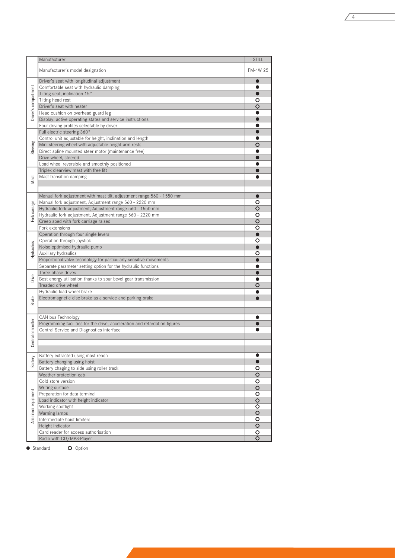|                      | Manufacturer                                                                                                                    | <b>STILL</b>       |
|----------------------|---------------------------------------------------------------------------------------------------------------------------------|--------------------|
|                      | Manufacturer's model designation                                                                                                | FM-4W 25           |
| Driver's compartment | Driver's seat with longitudinal adjustment                                                                                      | $\bullet$          |
|                      | Comfortable seat with hydraulic damping                                                                                         | œ                  |
|                      | Tilting seat, inclination 15°                                                                                                   |                    |
|                      | Tilting head rest                                                                                                               | O                  |
|                      | Driver's seat with heater<br>Head cushion on overhead guard leg                                                                 | O                  |
|                      | Display: active operating states and service instructions                                                                       |                    |
|                      | Four driving profiles selectable by driver                                                                                      |                    |
|                      | Full electric steering 360°                                                                                                     |                    |
|                      | Control unit adjustable for height, inclination and length                                                                      |                    |
|                      | Mini-steering wheel with adjustable height arm rests                                                                            | O                  |
| Steering             | Direct spline mounted steer motor (maintenance free)                                                                            |                    |
|                      | Drive wheel, steered                                                                                                            |                    |
|                      | Load wheel reversible and smoothly positioned                                                                                   |                    |
|                      | Triplex clearview mast with free lift                                                                                           |                    |
| Mast                 | Mast transition damping                                                                                                         |                    |
|                      |                                                                                                                                 |                    |
|                      |                                                                                                                                 |                    |
|                      | Manual fork adjustment with mast tilt, adjustment range 560 - 1550 mm<br>Manual fork adjustment, Adjustment range 560 - 2220 mm | O                  |
| Fork carriage        | Hydraulic fork adjustment, Adjustment range 560 - 1550 mm                                                                       | O                  |
|                      | Hydraulic fork adjustment, Adjustment range 560 - 2220 mm                                                                       | O                  |
|                      | Creep sped with fork carriage raised                                                                                            | $\circ$            |
|                      | Fork extensions                                                                                                                 | O                  |
|                      | Operation through four single levers                                                                                            |                    |
|                      | Operation through joystick                                                                                                      | O                  |
|                      | Noise optimised hydraulic pump                                                                                                  |                    |
| Hydraulics           | Auxiliary hydraulics                                                                                                            | O                  |
|                      | Proportional valve technology for particularly sensitive movements                                                              |                    |
|                      | Separate parameter setting option for the hydraulic functions                                                                   |                    |
|                      | Three phase drives                                                                                                              |                    |
| Drive                | Best energy utilisation thanks to spur bevel gear transmission                                                                  | O                  |
|                      | Treaded drive wheel<br>Hydraulic load wheel brake                                                                               |                    |
|                      | Electromagnetic disc brake as a service and parking brake                                                                       |                    |
| <b>Brake</b>         |                                                                                                                                 |                    |
|                      |                                                                                                                                 |                    |
|                      | CAN bus Technology                                                                                                              |                    |
|                      | Programming facilities for the drive, acceleration and retardation figures                                                      |                    |
|                      | Central Service and Diagnostics interface                                                                                       |                    |
| Central controller   |                                                                                                                                 |                    |
|                      |                                                                                                                                 |                    |
|                      |                                                                                                                                 |                    |
| Battery              | Battery extracted using mast reach                                                                                              | 0                  |
|                      | Battery changing using hoist<br>Battery chaging to side using roller track                                                      | o                  |
|                      | Weather protection cab                                                                                                          | $\overline{O}$     |
|                      | Cold store version                                                                                                              | O                  |
|                      | Writing surface                                                                                                                 | $\circ$            |
|                      | Preparation for data terminal                                                                                                   | O                  |
| Additional equipment | Load indicator with height indicator                                                                                            | $\circ$            |
|                      | Working spotlight                                                                                                               | o                  |
|                      | Warning lamps                                                                                                                   | $\circ$            |
|                      | Intermediate hoist limiters                                                                                                     | o                  |
|                      | Height indicator                                                                                                                | $\overline{\circ}$ |
|                      | Card reader for access authorisation                                                                                            | O                  |
|                      | Radio with CD/MP3-Player                                                                                                        | O                  |

 $\sqrt{4}$ 

● Standard

O Option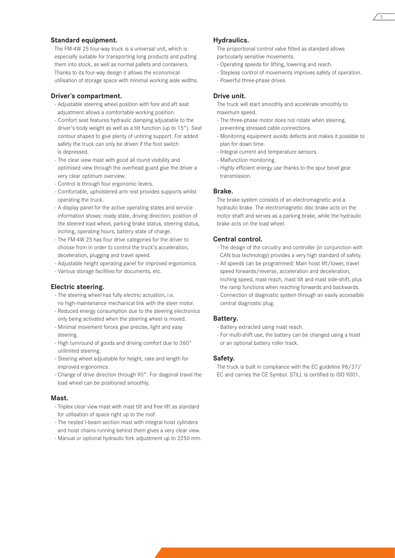#### **Standard equipment.**

The FM-4W 25 four-way truck is a universal unit, which is especially suitable for transporting long products and putting them into stock, as well as normal pallets and containers. Thanks to its four-way design it allows the economical utilisation of storage space with minimal working aisle widths.

#### **Driver's compartment.**

- Adjustable steering wheel position with fore and aft seat adjustment allows a comfortable working position.
- Comfort seat features hydraulic damping adjustable to the driver's body weight as well as a tilt function (up to 15°). Seat contour shaped to give plenty of untiring support. For added safety the truck can only be driven if the foot switch is depressed.
- The clear view mast with good all round visibility and optimised view through the overhead guard give the driver a very clear optimum overview.
- Control is through four ergonomic levers.
- Comfortable, upholstered arm rest provides supports whilst operating the truck.
- A display panel for the active operating states and service information shows: ready state, driving direction, position of the steered load wheel, parking brake status, steering status, inching, operating hours, battery state of charge.
- The FM-4W 25 has four drive categories for the driver to choose from in order to control the truck's acceleration, deceleration, plugging and travel speed.
- Adjustable height operating panel for improved ergonomics.
- Various storage facilities for documents, etc.

#### **Electric steering.**

- The steering wheel has fully electric actuation, i.e. no high-maintenance mechanical link with the steer motor.
- Reduced energy consumption due to the steering electronics only being activated when the steering wheel is moved.
- Minimal movement forces give precise, light and easy steering.
- High turnround of goods and driving comfort due to 360° unlimited steering.
- Steering wheel adjustable for height, rake and length for improved ergonomics.
- Change of drive direction through 90°. For diagonal travel the load wheel can be positioned smoothly.

#### **Mast.**

- Triplex clear view mast with mast tilt and free lift as standard for utilisation of space right up to the roof.
- The nested I-beam section mast with integral hoist cylinders and hoist chains running behind them gives a very clear view.
- Manual or optional hydraulic fork adjustment up to 2250 mm.

#### **Hydraulics.**

The proportional control valve fitted as standard allows particularly sensitive movements.

- Operating speeds for lifting, lowering and reach.
- Stepless control of movements improves safety of operation.
- Powerful three-phase drives.

#### **Drive unit.**

The truck will start smoothly and accelerate smoothly to maximum speed.

- The three-phase motor does not rotate when steering, preventing stressed cable connections.
- Monitoring equipment avoids defects and makes it possible to plan for down time.
- Integral current and temperature sensors.
- Malfunction monitoring.
- Highly efficient energy use thanks to the spur bevel gear transmission.

#### **Brake.**

The brake system consists of an electromagnetic and a hydraulic brake. The electromagnetic disc brake acts on the motor shaft and serves as a parking brake, while the hydraulic brake acts on the load wheel.

#### **Central control.**

- The design of the circuitry and controller (in conjunction with CAN bus technology) provides a very high standard of safety.
- All speeds can be programmed: Main hoist lift/lower, travel speed forwards/reverse, acceleration and deceleration, inching speed, mast reach, mast tilt and mast side-shift, plus the ramp functions when reaching forwards and backwards.
- Connection of diagnostic system through an easily accessible central diagnostic plug.

#### **Battery.**

- Battery extracted using mast reach.
- For multi-shift use, the battery can be changed using a hoist or an optional battery roller track.

#### **Safety.**

The truck is built in compliance with the EC guideline 98/37/ EC and carries the CE Symbol. STILL is certified to ISO 9001.

5